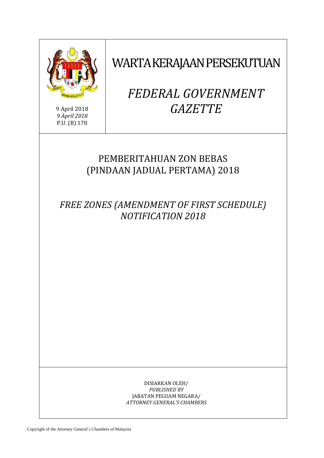

9 April 2018 *9 April 2018* P.U. (B) 170

WARTA KERAJAAN PERSEKUTUAN

# *FEDERAL GOVERNMENT GAZETTE*

# PEMBERITAHUAN ZON BEBAS (PINDAAN JADUAL PERTAMA) 2018

*FREE ZONES (AMENDMENT OF FIRST SCHEDULE) NOTIFICATION 2018*

> DISIARKAN OLEH/ *PUBLISHED BY* JABATAN PEGUAM NEGARA/ *ATTORNEY GENERAL'S CHAMBERS*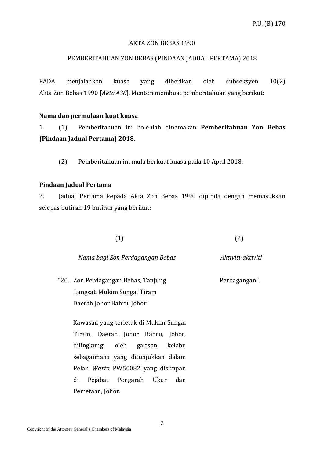#### AKTA ZON BEBAS 1990

#### PEMBERITAHUAN ZON BEBAS (PINDAAN JADUAL PERTAMA) 2018

PADA menjalankan kuasa yang diberikan oleh subseksyen 10(2) Akta Zon Bebas 1990 [*Akta 438*], Menteri membuat pemberitahuan yang berikut:

#### **Nama dan permulaan kuat kuasa**

1. (1) Pemberitahuan ini bolehlah dinamakan **Pemberitahuan Zon Bebas (Pindaan Jadual Pertama) 2018**.

(2) Pemberitahuan ini mula berkuat kuasa pada 10 April 2018.

## **Pindaan Jadual Pertama**

2. Jadual Pertama kepada Akta Zon Bebas 1990 dipinda dengan memasukkan selepas butiran 19 butiran yang berikut:

 $(1)$  (2)

#### *Nama bagi Zon Perdagangan Bebas Aktiviti-aktiviti*

"20. Zon Perdagangan Bebas, Tanjung Perdagangan". Langsat, Mukim Sungai Tiram Daerah Johor Bahru, Johor:

 Kawasan yang terletak di Mukim Sungai Tiram, Daerah Johor Bahru, Johor, dilingkungi oleh garisan kelabu sebagaimana yang ditunjukkan dalam Pelan *Warta* PW50082 yang disimpan di Pejabat Pengarah Ukur dan Pemetaan, Johor.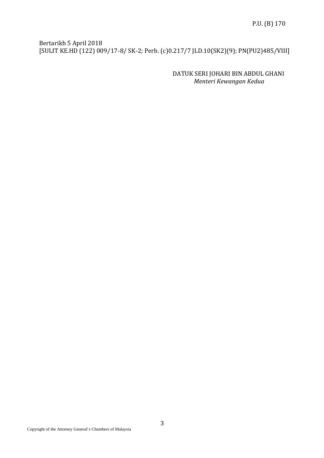Bertarikh 5 April 2018 [SULIT KE.HD (122) 009/17-8/ SK-2; Perb. (c)0.217/7 JLD.10(SK2)(9); PN(PU2)485/VIII]

> DATUK SERI JOHARI BIN ABDUL GHANI *Menteri Kewangan Kedua*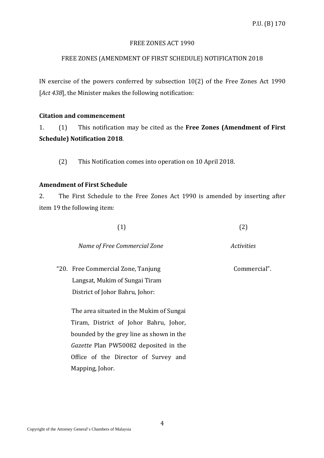## FREE ZONES ACT 1990

# FREE ZONES (AMENDMENT OF FIRST SCHEDULE) NOTIFICATION 2018

IN exercise of the powers conferred by subsection 10(2) of the Free Zones Act 1990 [*Act 438*], the Minister makes the following notification:

#### **Citation and commencement**

1. (1) This notification may be cited as the **Free Zones (Amendment of First Schedule) Notification 2018**.

(2) This Notification comes into operation on 10 April 2018.

#### **Amendment of First Schedule**

2. The First Schedule to the Free Zones Act 1990 is amended by inserting after item 19 the following item:

| (1) | (2) |
|-----|-----|
|-----|-----|

| Name of Free Commercial Zone | Activities |
|------------------------------|------------|
|------------------------------|------------|

"20. Free Commercial Zone, Tanjung The Commercial". Langsat, Mukim of Sungai Tiram District of Johor Bahru, Johor:

 The area situated in the Mukim of Sungai Tiram, District of Johor Bahru, Johor, bounded by the grey line as shown in the *Gazette* Plan PW50082 deposited in the Office of the Director of Survey and Mapping, Johor.